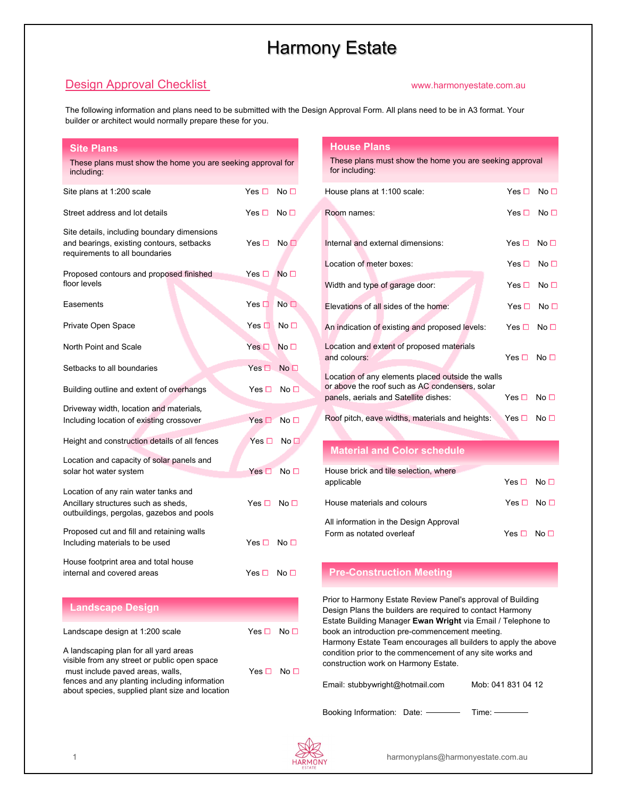# Harmony Estate

## **Design Approval Checklist** Web and the Check www.harmonyestate.com.au

The following information and plans need to be submitted with the Design Approval Form. All plans need to be in A3 format. Your builder or architect would normally prepare these for you.

| <b>Site Plans</b>                                                                                                                                                          |                 |                      |
|----------------------------------------------------------------------------------------------------------------------------------------------------------------------------|-----------------|----------------------|
| These plans must show the home you are seeking approval for<br>including:                                                                                                  |                 |                      |
| Site plans at 1:200 scale                                                                                                                                                  | Yes $\square$   | No <sub>1</sub>      |
| Street address and lot details                                                                                                                                             | Yes $\Box$      | No $\Box$            |
| Site details, including boundary dimensions<br>and bearings, existing contours, setbacks<br>requirements to all boundaries                                                 | Yes $\Box$      | No <sub>1</sub>      |
| Proposed contours and proposed finished<br>floor levels                                                                                                                    | Yes $\Box$      | No $\Box$            |
| Easements                                                                                                                                                                  | Yes $\square$   | No <sub>1</sub>      |
| Private Open Space                                                                                                                                                         | Yes $\square$ : | No $\square$         |
| North Point and Scale                                                                                                                                                      | Yes $\Box$      | No $\Box$            |
| Setbacks to all boundaries                                                                                                                                                 | $Yes \Box$      | No <sub>1</sub>      |
| Building outline and extent of overhangs                                                                                                                                   | Yes □           | No □                 |
| Driveway width, location and materials,<br>Including location of existing crossover                                                                                        | Yes $\Box$      | No <sub>1</sub>      |
| Height and construction details of all fences                                                                                                                              | Yes $\Box$      | No $\Box$            |
| Location and capacity of solar panels and<br>solar hot water system                                                                                                        | Yes $\Box$      | No $\Box$            |
| Location of any rain water tanks and<br>Ancillary structures such as sheds,<br>outbuildings, pergolas, gazebos and pools                                                   | Yes □           | No <sub>1</sub>      |
| Proposed cut and fill and retaining walls<br>Including materials to be used                                                                                                | Yes $\Box$      | No <sub>1</sub>      |
| House footprint area and total house<br>internal and covered areas                                                                                                         | Yes □           | No <sub>1</sub>      |
| <b>Landscape Design</b>                                                                                                                                                    |                 |                      |
| Landscape design at 1:200 scale                                                                                                                                            | Yes □           | No <sub>1</sub>      |
| A landscaping plan for all yard areas<br>visible from any street or public open space<br>must include paved areas, walls,<br>fences and any planting including information |                 | Yes $\Box$ No $\Box$ |

#### **House Plans**

|                                                                                                     | These plans must show the home you are seeking approval<br>for including: |                      |                 |
|-----------------------------------------------------------------------------------------------------|---------------------------------------------------------------------------|----------------------|-----------------|
|                                                                                                     | House plans at 1:100 scale:                                               | Yes $\Box$ No $\Box$ |                 |
|                                                                                                     | Room names:                                                               | $Yes \Box No \Box$   |                 |
|                                                                                                     | Internal and external dimensions:                                         | Yes □                | No <sub>1</sub> |
|                                                                                                     | Location of meter boxes:                                                  | Yes □                | No <sub>1</sub> |
|                                                                                                     | Width and type of garage door:                                            | Yes $\Box$           | No <sub>1</sub> |
|                                                                                                     | Elevations of all sides of the home:                                      | Yes $\Box$           | No $\Box$       |
|                                                                                                     | An indication of existing and proposed levels:                            | Yes □                | No <sub>1</sub> |
|                                                                                                     | Location and extent of proposed materials<br>and colours:                 | $Yes \Box No \Box$   |                 |
| Location of any elements placed outside the walls<br>or above the roof such as AC condensers, solar |                                                                           |                      |                 |
|                                                                                                     | panels, aerials and Satellite dishes:                                     | Yes $\Box$           | No $\Box$       |
|                                                                                                     | Roof pitch, eave widths, materials and heights:                           | Yes $\Box$           | No $\Box$       |

#### **Material and Color schedule**

| House brick and tile selection, where<br>applicable                | Yes $\Box$ No $\Box$ |
|--------------------------------------------------------------------|----------------------|
| House materials and colours                                        | Yes $\Box$ No $\Box$ |
| All information in the Design Approval<br>Form as notated overleaf | $Yes \Box$ No $\Box$ |

### **Pre-Construction Meeting**

 Prior to Harmony Estate Review Panel's approval of Building Design Plans the builders are required to contact Harmony Estate Building Manager **Ewan Wright** via Email / Telephone to book an introduction pre-commencement meeting. Harmony Estate Team encourages all builders to apply the above condition prior to the commencement of any site works and construction work on Harmony Estate.

Email: stubbywright@hotmail.com Mob: 041 831 04 12

Booking Information: Date: Time: